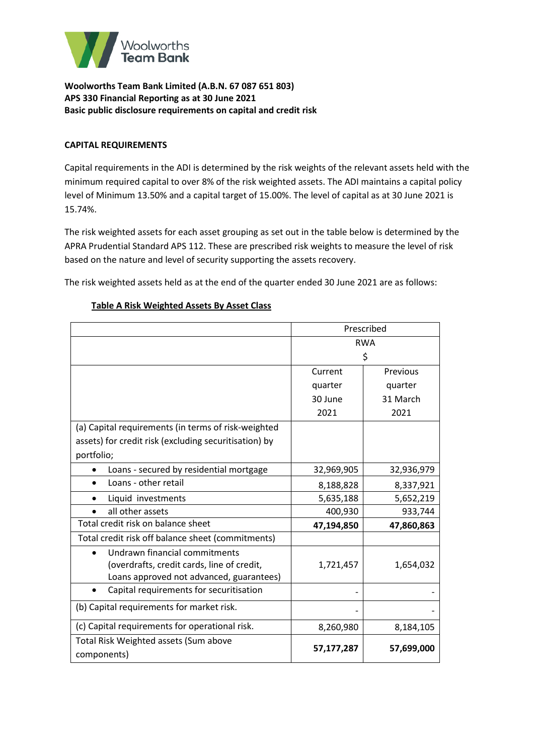

## **CAPITAL REQUIREMENTS**

Capital requirements in the ADI is determined by the risk weights of the relevant assets held with the minimum required capital to over 8% of the risk weighted assets. The ADI maintains a capital policy level of Minimum 13.50% and a capital target of 15.00%. The level of capital as at 30 June 2021 is 15.74%.

The risk weighted assets for each asset grouping as set out in the table below is determined by the APRA Prudential Standard APS 112. These are prescribed risk weights to measure the level of risk based on the nature and level of security supporting the assets recovery.

The risk weighted assets held as at the end of the quarter ended 30 June 2021 are as follows:

|                                                       | Prescribed |            |  |
|-------------------------------------------------------|------------|------------|--|
|                                                       | <b>RWA</b> |            |  |
|                                                       | \$         |            |  |
|                                                       | Current    | Previous   |  |
|                                                       | quarter    | quarter    |  |
|                                                       | 30 June    | 31 March   |  |
|                                                       | 2021       | 2021       |  |
| (a) Capital requirements (in terms of risk-weighted   |            |            |  |
| assets) for credit risk (excluding securitisation) by |            |            |  |
| portfolio;                                            |            |            |  |
| Loans - secured by residential mortgage               | 32,969,905 | 32,936,979 |  |
| Loans - other retail                                  | 8,188,828  | 8,337,921  |  |
| Liquid investments                                    | 5,635,188  | 5,652,219  |  |
| all other assets                                      | 400,930    | 933,744    |  |
| Total credit risk on balance sheet                    | 47,194,850 | 47,860,863 |  |
| Total credit risk off balance sheet (commitments)     |            |            |  |
| Undrawn financial commitments                         |            |            |  |
| (overdrafts, credit cards, line of credit,            | 1,721,457  | 1,654,032  |  |
| Loans approved not advanced, guarantees)              |            |            |  |
| Capital requirements for securitisation               |            |            |  |
| (b) Capital requirements for market risk.             |            |            |  |
| (c) Capital requirements for operational risk.        | 8,260,980  | 8,184,105  |  |
| Total Risk Weighted assets (Sum above                 |            |            |  |
| components)                                           | 57,177,287 | 57,699,000 |  |

## **Table A Risk Weighted Assets By Asset Class**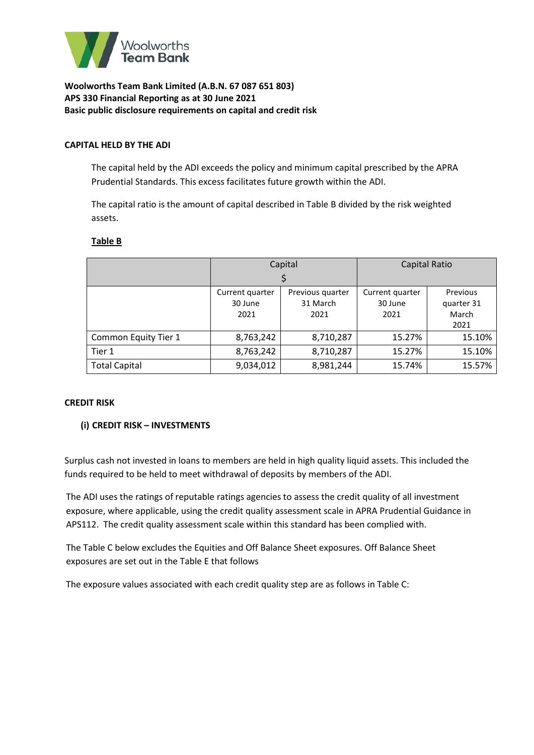

### **CAPITAL HELD BY THE ADI**

The capital held by the ADI exceeds the policy and minimum capital prescribed by the APRA Prudential Standards. This excess facilitates future growth within the ADI.

The capital ratio is the amount of capital described in Table B divided by the risk weighted assets.

### **Table B**

|                      | Capital         |                  | Capital Ratio   |            |
|----------------------|-----------------|------------------|-----------------|------------|
|                      |                 |                  |                 |            |
|                      | Current quarter | Previous quarter | Current quarter | Previous   |
|                      | 30 June         | 31 March         | 30 June         | quarter 31 |
|                      | 2021<br>2021    |                  | 2021            | March      |
|                      |                 |                  |                 | 2021       |
| Common Equity Tier 1 | 8,763,242       | 8,710,287        | 15.27%          | 15.10%     |
| Tier 1               | 8,763,242       | 8,710,287        | 15.27%          | 15.10%     |
| <b>Total Capital</b> | 9,034,012       | 8,981,244        | 15.74%          | 15.57%     |

### **CREDIT RISK**

### **(i) CREDIT RISK – INVESTMENTS**

Surplus cash not invested in loans to members are held in high quality liquid assets. This included the funds required to be held to meet withdrawal of deposits by members of the ADI.

The ADI uses the ratings of reputable ratings agencies to assess the credit quality of all investment exposure, where applicable, using the credit quality assessment scale in APRA Prudential Guidance in APS112. The credit quality assessment scale within this standard has been complied with.

The Table C below excludes the Equities and Off Balance Sheet exposures. Off Balance Sheet exposures are set out in the Table E that follows

The exposure values associated with each credit quality step are as follows in Table C: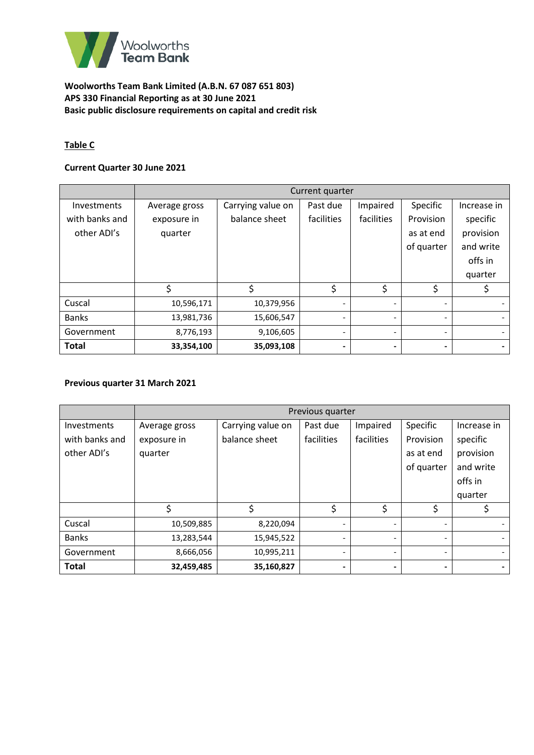

# **Table C**

## **Current Quarter 30 June 2021**

|                    | Current quarter |                   |                          |            |                          |             |
|--------------------|-----------------|-------------------|--------------------------|------------|--------------------------|-------------|
| <b>Investments</b> | Average gross   | Carrying value on | Past due                 | Impaired   | Specific                 | Increase in |
| with banks and     | exposure in     | balance sheet     | facilities               | facilities | Provision                | specific    |
| other ADI's        | quarter         |                   |                          |            | as at end                | provision   |
|                    |                 |                   |                          |            | of quarter               | and write   |
|                    |                 |                   |                          |            |                          | offs in     |
|                    |                 |                   |                          |            |                          | quarter     |
|                    |                 | \$                | \$                       | \$         | \$                       |             |
| Cuscal             | 10,596,171      | 10,379,956        |                          |            | $\overline{\phantom{0}}$ |             |
| <b>Banks</b>       | 13,981,736      | 15,606,547        |                          |            | $\overline{\phantom{a}}$ |             |
| Government         | 8,776,193       | 9,106,605         | $\overline{\phantom{0}}$ |            | $\overline{\phantom{a}}$ |             |
| <b>Total</b>       | 33,354,100      | 35,093,108        | $\blacksquare$           |            | $\blacksquare$           |             |

## **Previous quarter 31 March 2021**

|                | Previous quarter |                   |            |            |                          |             |
|----------------|------------------|-------------------|------------|------------|--------------------------|-------------|
| Investments    | Average gross    | Carrying value on | Past due   | Impaired   | Specific                 | Increase in |
| with banks and | exposure in      | balance sheet     | facilities | facilities | Provision                | specific    |
| other ADI's    | quarter          |                   |            |            | as at end                | provision   |
|                |                  |                   |            |            | of quarter               | and write   |
|                |                  |                   |            |            |                          | offs in     |
|                |                  |                   |            |            |                          | quarter     |
|                | \$               | \$                | \$         | \$         | \$                       |             |
| Cuscal         | 10,509,885       | 8,220,094         | ۰          |            | $\overline{\phantom{0}}$ |             |
| <b>Banks</b>   | 13,283,544       | 15,945,522        |            |            | $\overline{\phantom{0}}$ |             |
| Government     | 8,666,056        | 10,995,211        |            |            | $\overline{\phantom{0}}$ |             |
| <b>Total</b>   | 32,459,485       | 35,160,827        | -          |            | $\blacksquare$           |             |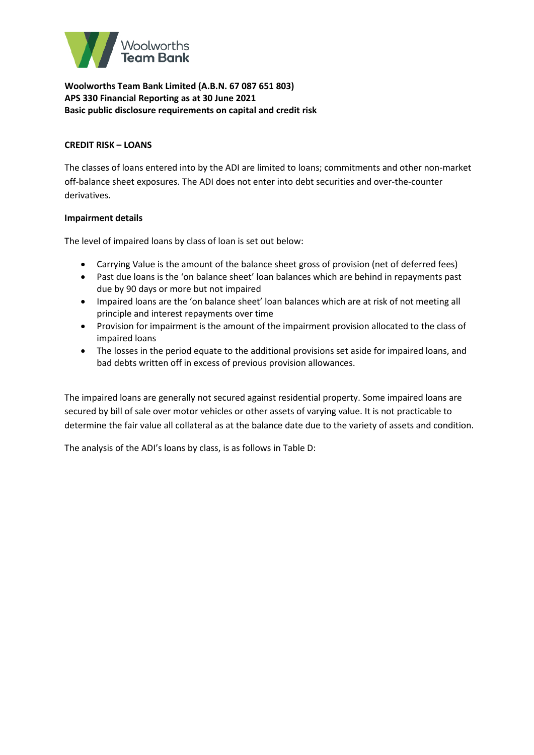

## **CREDIT RISK – LOANS**

The classes of loans entered into by the ADI are limited to loans; commitments and other non-market off-balance sheet exposures. The ADI does not enter into debt securities and over-the-counter derivatives.

## **Impairment details**

The level of impaired loans by class of loan is set out below:

- Carrying Value is the amount of the balance sheet gross of provision (net of deferred fees)
- Past due loans is the 'on balance sheet' loan balances which are behind in repayments past due by 90 days or more but not impaired
- Impaired loans are the 'on balance sheet' loan balances which are at risk of not meeting all principle and interest repayments over time
- Provision for impairment is the amount of the impairment provision allocated to the class of impaired loans
- The losses in the period equate to the additional provisions set aside for impaired loans, and bad debts written off in excess of previous provision allowances.

The impaired loans are generally not secured against residential property. Some impaired loans are secured by bill of sale over motor vehicles or other assets of varying value. It is not practicable to determine the fair value all collateral as at the balance date due to the variety of assets and condition.

The analysis of the ADI's loans by class, is as follows in Table D: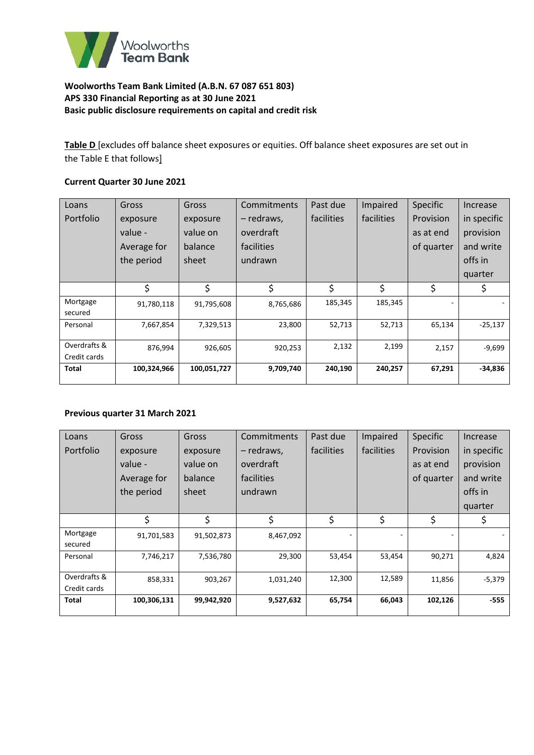

**Table D** [excludes off balance sheet exposures or equities. Off balance sheet exposures are set out in the Table E that follows]

## **Current Quarter 30 June 2021**

| Loans        | Gross       | Gross       | Commitments | Past due   | Impaired   | Specific   | Increase    |
|--------------|-------------|-------------|-------------|------------|------------|------------|-------------|
| Portfolio    | exposure    | exposure    | – redraws,  | facilities | facilities | Provision  | in specific |
|              | value -     | value on    | overdraft   |            |            | as at end  | provision   |
|              | Average for | balance     | facilities  |            |            | of quarter | and write   |
|              | the period  | sheet       | undrawn     |            |            |            | offs in     |
|              |             |             |             |            |            |            | quarter     |
|              | \$          | \$          | \$          | \$         | \$         | \$         | \$          |
| Mortgage     | 91,780,118  | 91,795,608  | 8,765,686   | 185,345    | 185,345    |            |             |
| secured      |             |             |             |            |            |            |             |
| Personal     | 7,667,854   | 7,329,513   | 23,800      | 52,713     | 52,713     | 65,134     | $-25,137$   |
|              |             |             |             |            |            |            |             |
| Overdrafts & | 876,994     | 926,605     | 920,253     | 2,132      | 2,199      | 2,157      | $-9,699$    |
| Credit cards |             |             |             |            |            |            |             |
| Total        | 100,324,966 | 100,051,727 | 9,709,740   | 240,190    | 240,257    | 67,291     | $-34,836$   |
|              |             |             |             |            |            |            |             |

### **Previous quarter 31 March 2021**

| Loans                        | Gross       | Gross      | Commitments | Past due   | Impaired   | <b>Specific</b> | Increase    |
|------------------------------|-------------|------------|-------------|------------|------------|-----------------|-------------|
| Portfolio                    | exposure    | exposure   | - redraws,  | facilities | facilities | Provision       | in specific |
|                              | value -     | value on   | overdraft   |            |            | as at end       | provision   |
|                              | Average for | balance    | facilities  |            |            | of quarter      | and write   |
|                              | the period  | sheet      | undrawn     |            |            |                 | offs in     |
|                              |             |            |             |            |            |                 | quarter     |
|                              | \$          | \$         | \$          | \$         | \$         | \$              | Ş           |
| Mortgage<br>secured          | 91,701,583  | 91,502,873 | 8,467,092   |            |            |                 |             |
| Personal                     | 7,746,217   | 7,536,780  | 29,300      | 53,454     | 53,454     | 90,271          | 4,824       |
| Overdrafts &<br>Credit cards | 858,331     | 903,267    | 1,031,240   | 12,300     | 12,589     | 11,856          | -5,379      |
| <b>Total</b>                 | 100,306,131 | 99,942,920 | 9,527,632   | 65,754     | 66,043     | 102,126         | $-555$      |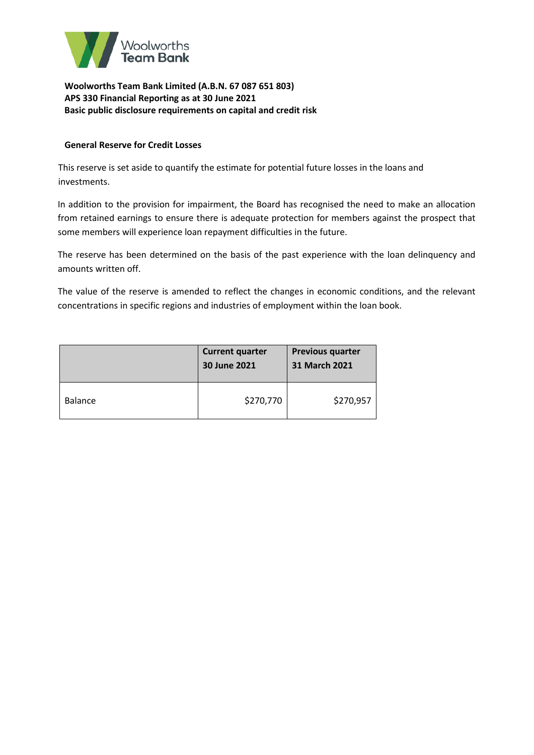

## **General Reserve for Credit Losses**

This reserve is set aside to quantify the estimate for potential future losses in the loans and investments.

In addition to the provision for impairment, the Board has recognised the need to make an allocation from retained earnings to ensure there is adequate protection for members against the prospect that some members will experience loan repayment difficulties in the future.

The reserve has been determined on the basis of the past experience with the loan delinquency and amounts written off.

The value of the reserve is amended to reflect the changes in economic conditions, and the relevant concentrations in specific regions and industries of employment within the loan book.

|                | <b>Current quarter</b><br>30 June 2021 | <b>Previous quarter</b><br>31 March 2021 |
|----------------|----------------------------------------|------------------------------------------|
| <b>Balance</b> | \$270,770                              | \$270,957                                |